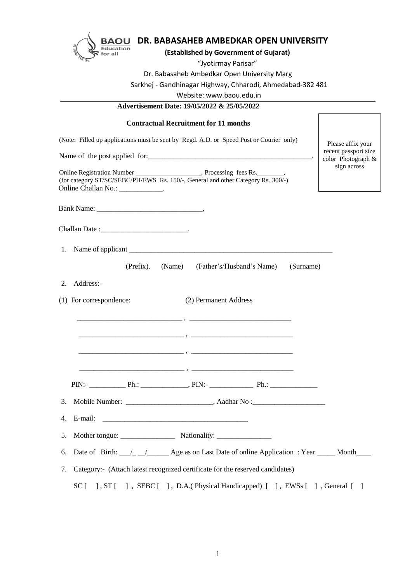

# **BAOU DR. BABASAHEB AMBEDKAR OPEN UNIVERSITY**

# **(Established by Government of Gujarat)**

#### "Jyotirmay Parisar"

Dr. Babasaheb Ambedkar Open University Marg

Sarkhej - Gandhinagar Highway, Chharodi, Ahmedabad-382 481

Website: www.baou.edu.in

#### **Advertisement Date: 19/05/2022 & 25/05/2022**

| <b>Contractual Recruitment for 11 months</b>                                                                           |                                            |
|------------------------------------------------------------------------------------------------------------------------|--------------------------------------------|
| (Note: Filled up applications must be sent by Regd. A.D. or Speed Post or Courier only)                                | Please affix your                          |
|                                                                                                                        | recent passport size<br>color Photograph & |
| (for category ST/SC/SEBC/PH/EWS Rs. 150/-, General and other Category Rs. 300/-)<br>Online Challan No.: _____________. | sign across                                |
|                                                                                                                        |                                            |
| Challan Date :_______________________________.                                                                         |                                            |
|                                                                                                                        |                                            |
| (Prefix). (Name) (Father's/Husband's Name)<br>(Surname)                                                                |                                            |
| Address:-<br>2.                                                                                                        |                                            |
| (1) For correspondence:<br>(2) Permanent Address                                                                       |                                            |
|                                                                                                                        |                                            |
|                                                                                                                        |                                            |

| . .<br>__________ | ________________<br>_________ |  |
|-------------------|-------------------------------|--|
|                   |                               |  |

\_\_\_\_\_\_\_\_\_\_\_\_\_\_\_\_\_\_\_\_\_\_\_\_\_\_\_\_\_ , \_\_\_\_\_\_\_\_\_\_\_\_\_\_\_\_\_\_\_\_\_\_\_\_\_\_\_\_

\_\_\_\_\_\_\_\_\_\_\_\_\_\_\_\_\_\_\_\_\_\_\_\_\_\_\_\_\_ , \_\_\_\_\_\_\_\_\_\_\_\_\_\_\_\_\_\_\_\_\_\_\_\_\_\_\_\_

- 3. Mobile Number: \_\_\_\_\_\_\_\_\_\_\_\_\_\_\_\_\_\_\_\_\_\_\_\_\_\_, Aadhar No :\_\_\_\_\_\_\_\_\_\_\_\_\_\_\_\_\_\_\_\_\_\_\_
- 4. E-mail: \_\_\_\_\_\_\_\_\_\_\_\_\_\_\_\_\_\_\_\_\_\_\_\_\_\_\_\_\_\_\_\_\_\_\_\_\_\_\_\_
- 5. Mother tongue: Nationality:
- 6. Date of Birth:  $\angle$   $\angle$   $\angle$   $\angle$  Age as on Last Date of online Application : Year  $\angle$  Month
- 7. Category:- (Attach latest recognized certificate for the reserved candidates)

SC [ ], ST [ ], SEBC [], D.A.(Physical Handicapped) [], EWSs [], General []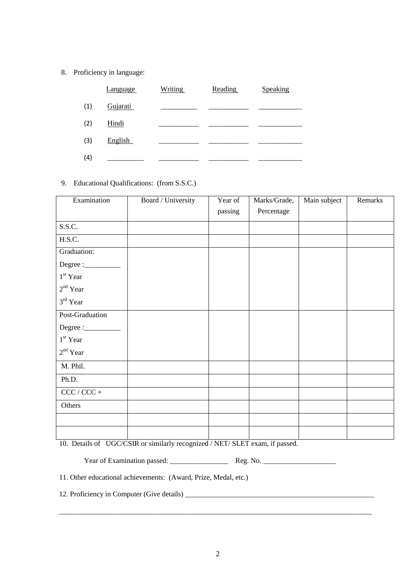# 8. Proficiency in language:

|     | Language | <b>Writing</b> | Reading | Speaking |
|-----|----------|----------------|---------|----------|
| (1) | Gujarati |                |         |          |
| (2) | Hindi    |                |         |          |
| (3) | English  |                |         |          |
| (4) |          |                |         |          |

# 9. Educational Qualifications: (from S.S.C.)

| Examination          | Board / University | Year of | Marks/Grade, | Main subject | Remarks |
|----------------------|--------------------|---------|--------------|--------------|---------|
|                      |                    | passing | Percentage   |              |         |
| S.S.C.               |                    |         |              |              |         |
| H.S.C.               |                    |         |              |              |         |
| Graduation:          |                    |         |              |              |         |
|                      |                    |         |              |              |         |
| $1st$ Year           |                    |         |              |              |         |
| $2nd$ Year           |                    |         |              |              |         |
| 3 <sup>rd</sup> Year |                    |         |              |              |         |
| Post-Graduation      |                    |         |              |              |         |
|                      |                    |         |              |              |         |
| $1st$ Year           |                    |         |              |              |         |
| $2nd$ Year           |                    |         |              |              |         |
| M. Phil.             |                    |         |              |              |         |
| Ph.D.                |                    |         |              |              |         |
| $CCC / CCC +$        |                    |         |              |              |         |
| Others               |                    |         |              |              |         |
|                      |                    |         |              |              |         |
|                      |                    |         |              |              |         |

10. Details of UGC/CSIR or similarly recognized / NET/ SLET exam, if passed.

Year of Examination passed: \_\_\_\_\_\_\_\_\_\_\_\_\_\_\_\_ Reg. No. \_\_\_\_\_\_\_\_\_\_\_\_\_\_\_\_\_\_\_\_

11. Other educational achievements: (Award, Prize, Medal, etc.)

12. Proficiency in Computer (Give details) \_\_\_\_\_\_\_\_\_\_\_\_\_\_\_\_\_\_\_\_\_\_\_\_\_\_\_\_\_\_\_\_\_\_\_\_\_\_\_\_\_\_\_\_\_\_\_\_\_\_\_\_

 $\_$  , and the set of the set of the set of the set of the set of the set of the set of the set of the set of the set of the set of the set of the set of the set of the set of the set of the set of the set of the set of th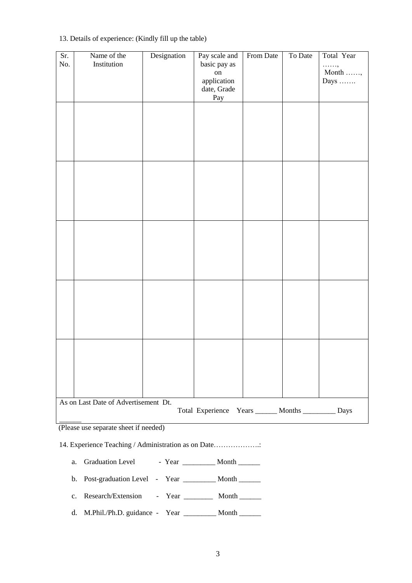| Sr.<br>No. | Name of the<br>Institution           | Designation | Pay scale and<br>basic pay as<br>$\,$ on $\,$<br>application<br>date, Grade | From Date | To Date | Total Year<br>. ,<br>Month $\ldots\ldots,$<br>Days $\dots \dots$ |
|------------|--------------------------------------|-------------|-----------------------------------------------------------------------------|-----------|---------|------------------------------------------------------------------|
|            |                                      |             | Pay                                                                         |           |         |                                                                  |
|            |                                      |             |                                                                             |           |         |                                                                  |
|            |                                      |             |                                                                             |           |         |                                                                  |
|            |                                      |             |                                                                             |           |         |                                                                  |
|            |                                      |             |                                                                             |           |         |                                                                  |
|            |                                      |             |                                                                             |           |         |                                                                  |
|            |                                      |             |                                                                             |           |         |                                                                  |
|            |                                      |             |                                                                             |           |         |                                                                  |
|            |                                      |             |                                                                             |           |         |                                                                  |
|            |                                      |             |                                                                             |           |         |                                                                  |
|            |                                      |             |                                                                             |           |         |                                                                  |
|            |                                      |             |                                                                             |           |         |                                                                  |
|            |                                      |             |                                                                             |           |         |                                                                  |
|            |                                      |             |                                                                             |           |         |                                                                  |
|            |                                      |             |                                                                             |           |         |                                                                  |
|            |                                      |             |                                                                             |           |         |                                                                  |
|            |                                      |             |                                                                             |           |         |                                                                  |
|            |                                      |             |                                                                             |           |         |                                                                  |
|            |                                      |             |                                                                             |           |         |                                                                  |
|            |                                      |             |                                                                             |           |         |                                                                  |
|            |                                      |             |                                                                             |           |         |                                                                  |
|            |                                      |             |                                                                             |           |         |                                                                  |
|            |                                      |             |                                                                             |           |         |                                                                  |
|            |                                      |             |                                                                             |           |         |                                                                  |
|            | As on Last Date of Advertisement Dt. |             |                                                                             |           |         |                                                                  |
|            |                                      |             | Total Experience Years _____ Months _______ Days                            |           |         |                                                                  |

## 13. Details of experience: (Kindly fill up the table)

(Please use separate sheet if needed)

14. Experience Teaching / Administration as on Date……………….:

- a. Graduation Level Year \_\_\_\_\_\_\_\_ Month \_\_\_\_\_\_
- b. Post-graduation Level Year \_\_\_\_\_\_\_\_\_ Month \_\_\_\_\_\_\_
- c. Research/Extension Year \_\_\_\_\_\_\_ Month \_\_\_\_\_\_
- d. M.Phil./Ph.D. guidance Year \_\_\_\_\_\_\_\_\_ Month \_\_\_\_\_\_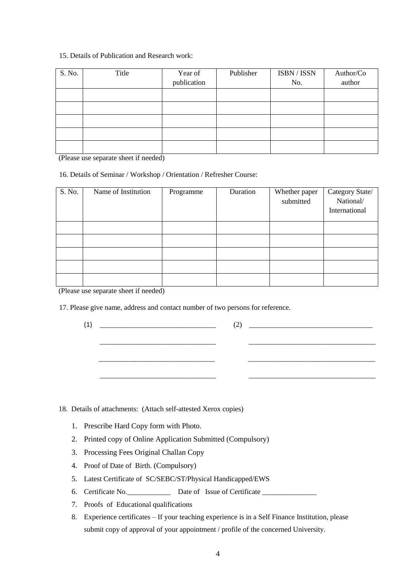## 15. Details of Publication and Research work:

| S. No. | Title | Year of<br>publication | Publisher | ISBN / ISSN<br>No. | Author/Co<br>author |
|--------|-------|------------------------|-----------|--------------------|---------------------|
|        |       |                        |           |                    |                     |
|        |       |                        |           |                    |                     |
|        |       |                        |           |                    |                     |
|        |       |                        |           |                    |                     |
|        |       |                        |           |                    |                     |

(Please use separate sheet if needed)

16. Details of Seminar / Workshop / Orientation / Refresher Course:

| S. No. | Name of Institution | Programme | Duration | Whether paper<br>submitted | Category State/<br>National/<br>International |
|--------|---------------------|-----------|----------|----------------------------|-----------------------------------------------|
|        |                     |           |          |                            |                                               |
|        |                     |           |          |                            |                                               |
|        |                     |           |          |                            |                                               |
|        |                     |           |          |                            |                                               |
|        |                     |           |          |                            |                                               |

(Please use separate sheet if needed)

17. Please give name, address and contact number of two persons for reference.

| $(1) \quad \begin{tabular}{c} \underline{\hspace{1cm}} \\ \underline{\hspace{1cm}} \\ \underline{\hspace{1cm}} \end{tabular}$ | $(2) \t\underline{\hspace{1.5cm}}$ |
|-------------------------------------------------------------------------------------------------------------------------------|------------------------------------|
|                                                                                                                               |                                    |
|                                                                                                                               |                                    |
|                                                                                                                               |                                    |

18. Details of attachments: (Attach self-attested Xerox copies)

- 1. Prescribe Hard Copy form with Photo.
- 2. Printed copy of Online Application Submitted (Compulsory)
- 3. Processing Fees Original Challan Copy
- 4. Proof of Date of Birth. (Compulsory)
- 5. Latest Certificate of SC/SEBC/ST/Physical Handicapped/EWS
- 6. Certificate No. \_\_\_\_\_\_\_\_\_\_\_\_\_\_\_\_ Date of Issue of Certificate \_\_\_\_\_\_\_\_\_\_\_\_\_\_\_
- 7. Proofs of Educational qualifications
- 8. Experience certificates If your teaching experience is in a Self Finance Institution, please submit copy of approval of your appointment / profile of the concerned University.